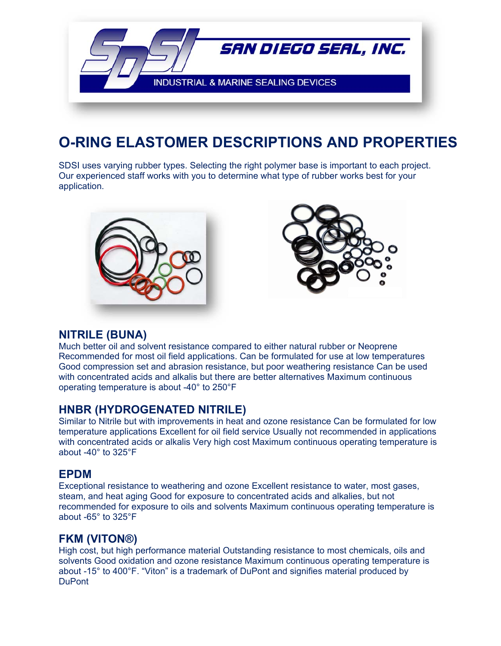

## **O-RING ELASTOMER DESCRIPTIONS AND PROPERTIES**

SDSI uses varying rubber types. Selecting the right polymer base is important to each project. Our experienced staff works with you to determine what type of rubber works best for your application.





## **NITRILE (BUNA)**

Much better oil and solvent resistance compared to either natural rubber or Neoprene Recommended for most oil field applications. Can be formulated for use at low temperatures Good compression set and abrasion resistance, but poor weathering resistance Can be used with concentrated acids and alkalis but there are better alternatives Maximum continuous operating temperature is about -40° to 250°F

## **HNBR (HYDROGENATED NITRILE)**

Similar to Nitrile but with improvements in heat and ozone resistance Can be formulated for low temperature applications Excellent for oil field service Usually not recommended in applications with concentrated acids or alkalis Very high cost Maximum continuous operating temperature is about -40° to 325°F

## **EPDM**

Exceptional resistance to weathering and ozone Excellent resistance to water, most gases, steam, and heat aging Good for exposure to concentrated acids and alkalies, but not recommended for exposure to oils and solvents Maximum continuous operating temperature is about -65° to 325°F

## **FKM (VITON®)**

High cost, but high performance material Outstanding resistance to most chemicals, oils and solvents Good oxidation and ozone resistance Maximum continuous operating temperature is about -15° to 400°F. "Viton" is a trademark of DuPont and signifies material produced by **DuPont**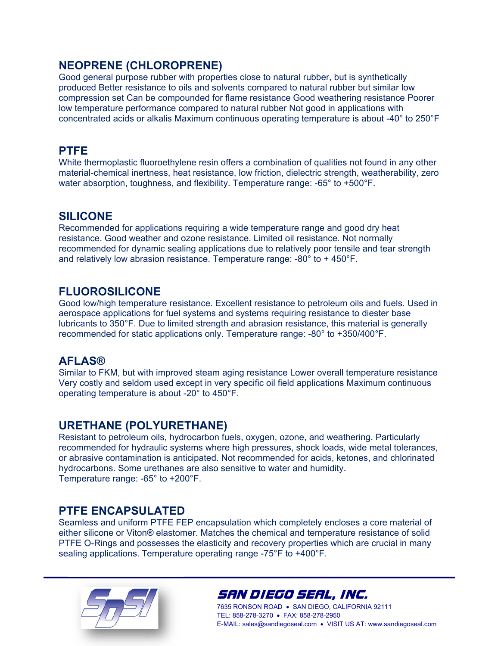## **NEOPRENE (CHLOROPRENE)**

Good general purpose rubber with properties close to natural rubber, but is synthetically produced Better resistance to oils and solvents compared to natural rubber but similar low compression set Can be compounded for flame resistance Good weathering resistance Poorer low temperature performance compared to natural rubber Not good in applications with concentrated acids or alkalis Maximum continuous operating temperature is about -40° to 250°F

## **PTFE**

White thermoplastic fluoroethylene resin offers a combination of qualities not found in any other material-chemical inertness, heat resistance, low friction, dielectric strength, weatherability, zero water absorption, toughness, and flexibility. Temperature range: -65° to +500°F.

## **SILICONE**

Recommended for applications requiring a wide temperature range and good dry heat resistance. Good weather and ozone resistance. Limited oil resistance. Not normally recommended for dynamic sealing applications due to relatively poor tensile and tear strength and relatively low abrasion resistance. Temperature range: -80° to + 450°F.

## **FLUOROSILICONE**

Good low/high temperature resistance. Excellent resistance to petroleum oils and fuels. Used in aerospace applications for fuel systems and systems requiring resistance to diester base lubricants to 350°F. Due to limited strength and abrasion resistance, this material is generally recommended for static applications only. Temperature range: -80° to +350/400°F.

## **AFLAS®**

Similar to FKM, but with improved steam aging resistance Lower overall temperature resistance Very costly and seldom used except in very specific oil field applications Maximum continuous operating temperature is about -20° to 450°F.

## **URETHANE (POLYURETHANE)**

Resistant to petroleum oils, hydrocarbon fuels, oxygen, ozone, and weathering. Particularly recommended for hydraulic systems where high pressures, shock loads, wide metal tolerances, or abrasive contamination is anticipated. Not recommended for acids, ketones, and chlorinated hydrocarbons. Some urethanes are also sensitive to water and humidity. Temperature range: -65° to +200°F.

## **PTFE ENCAPSULATED**

Seamless and uniform PTFE FEP encapsulation which completely encloses a core material of either silicone or Viton® elastomer. Matches the chemical and temperature resistance of solid PTFE O-Rings and possesses the elasticity and recovery properties which are crucial in many sealing applications. Temperature operating range -75°F to +400°F.



## SAN DIEGO SEAL, INC.

7635 RONSON ROAD . SAN DIEGO, CALIFORNIA 92111 TEL: 858-278-3270 · FAX: 858-278-2950 E-MAIL: sales@sandiegoseal.com VISIT US AT: www.sandiegoseal.com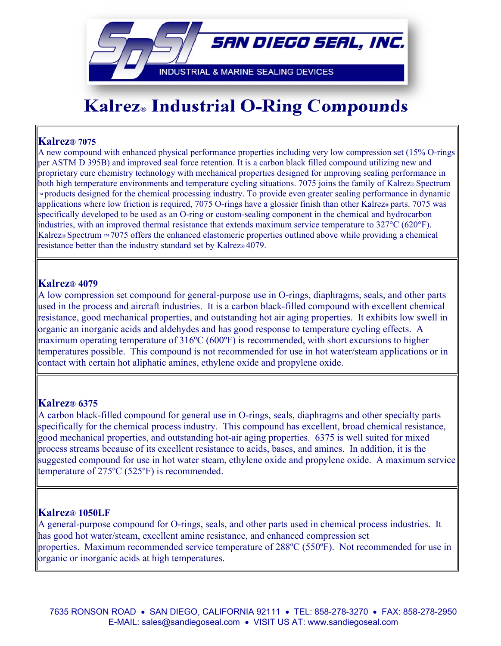

# **Kalrez® Industrial O-Ring Compounds**

### **Kalrez® 7075**

A new compound with enhanced physical performance properties including very low compression set (15% O-rings per ASTM D 395B) and improved seal force retention. It is a carbon black filled compound utilizing new and proprietary cure chemistry technology with mechanical properties designed for improving sealing performance in both high temperature environments and temperature cycling situations. 7075 joins the family of Kalrez® Spectrum ™ products designed for the chemical processing industry. To provide even greater sealing performance in dynamic applications where low friction is required, 7075 O-rings have a glossier finish than other Kalrez® parts. 7075 was specifically developed to be used as an O-ring or custom-sealing component in the chemical and hydrocarbon industries, with an improved thermal resistance that extends maximum service temperature to 327°C (620°F). Kalrez® Spectrum  $~\text{m}$  7075 offers the enhanced elastomeric properties outlined above while providing a chemical resistance better than the industry standard set by Kalrez® 4079.

### **Kalrez® 4079**

A low compression set compound for general-purpose use in O-rings, diaphragms, seals, and other parts used in the process and aircraft industries. It is a carbon black-filled compound with excellent chemical resistance, good mechanical properties, and outstanding hot air aging properties. It exhibits low swell in organic an inorganic acids and aldehydes and has good response to temperature cycling effects. A maximum operating temperature of 316ºC (600ºF) is recommended, with short excursions to higher temperatures possible. This compound is not recommended for use in hot water/steam applications or in contact with certain hot aliphatic amines, ethylene oxide and propylene oxide.

### **Kalrez® 6375**

A carbon black-filled compound for general use in O-rings, seals, diaphragms and other specialty parts specifically for the chemical process industry. This compound has excellent, broad chemical resistance, good mechanical properties, and outstanding hot-air aging properties. 6375 is well suited for mixed process streams because of its excellent resistance to acids, bases, and amines. In addition, it is the suggested compound for use in hot water steam, ethylene oxide and propylene oxide. A maximum service temperature of 275ºC (525ºF) is recommended.

### **Kalrez® 1050LF**

A general-purpose compound for O-rings, seals, and other parts used in chemical process industries. It has good hot water/steam, excellent amine resistance, and enhanced compression set properties. Maximum recommended service temperature of 288ºC (550ºF). Not recommended for use in organic or inorganic acids at high temperatures.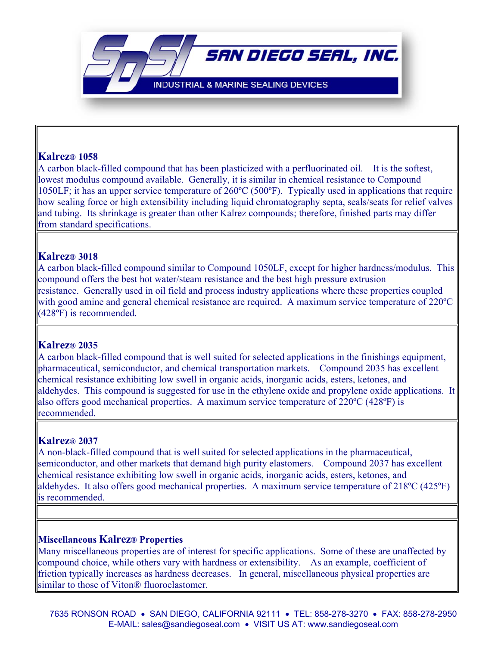**INDUSTRIAL & MARINE SEALING DEVICES** 

SAN DIEGO SEAL, INC.

### **Kalrez® 1058**

A carbon black-filled compound that has been plasticized with a perfluorinated oil. It is the softest, lowest modulus compound available. Generally, it is similar in chemical resistance to Compound 1050LF; it has an upper service temperature of 260ºC (500ºF). Typically used in applications that require how sealing force or high extensibility including liquid chromatography septa, seals/seats for relief valves and tubing. Its shrinkage is greater than other Kalrez compounds; therefore, finished parts may differ from standard specifications.

### **Kalrez® 3018**

A carbon black-filled compound similar to Compound 1050LF, except for higher hardness/modulus. This compound offers the best hot water/steam resistance and the best high pressure extrusion resistance. Generally used in oil field and process industry applications where these properties coupled with good amine and general chemical resistance are required. A maximum service temperature of 220 °C (428ºF) is recommended.

### **Kalrez® 2035**

A carbon black-filled compound that is well suited for selected applications in the finishings equipment, pharmaceutical, semiconductor, and chemical transportation markets. Compound 2035 has excellent chemical resistance exhibiting low swell in organic acids, inorganic acids, esters, ketones, and aldehydes. This compound is suggested for use in the ethylene oxide and propylene oxide applications. It also offers good mechanical properties. A maximum service temperature of 220ºC (428ºF) is recommended.

### **Kalrez® 2037**

A non-black-filled compound that is well suited for selected applications in the pharmaceutical, semiconductor, and other markets that demand high purity elastomers. Compound 2037 has excellent chemical resistance exhibiting low swell in organic acids, inorganic acids, esters, ketones, and aldehydes. It also offers good mechanical properties. A maximum service temperature of 218ºC (425ºF) is recommended.

### **Miscellaneous Kalrez® Properties**

Many miscellaneous properties are of interest for specific applications. Some of these are unaffected by compound choice, while others vary with hardness or extensibility. As an example, coefficient of friction typically increases as hardness decreases. In general, miscellaneous physical properties are similar to those of Viton® fluoroelastomer.